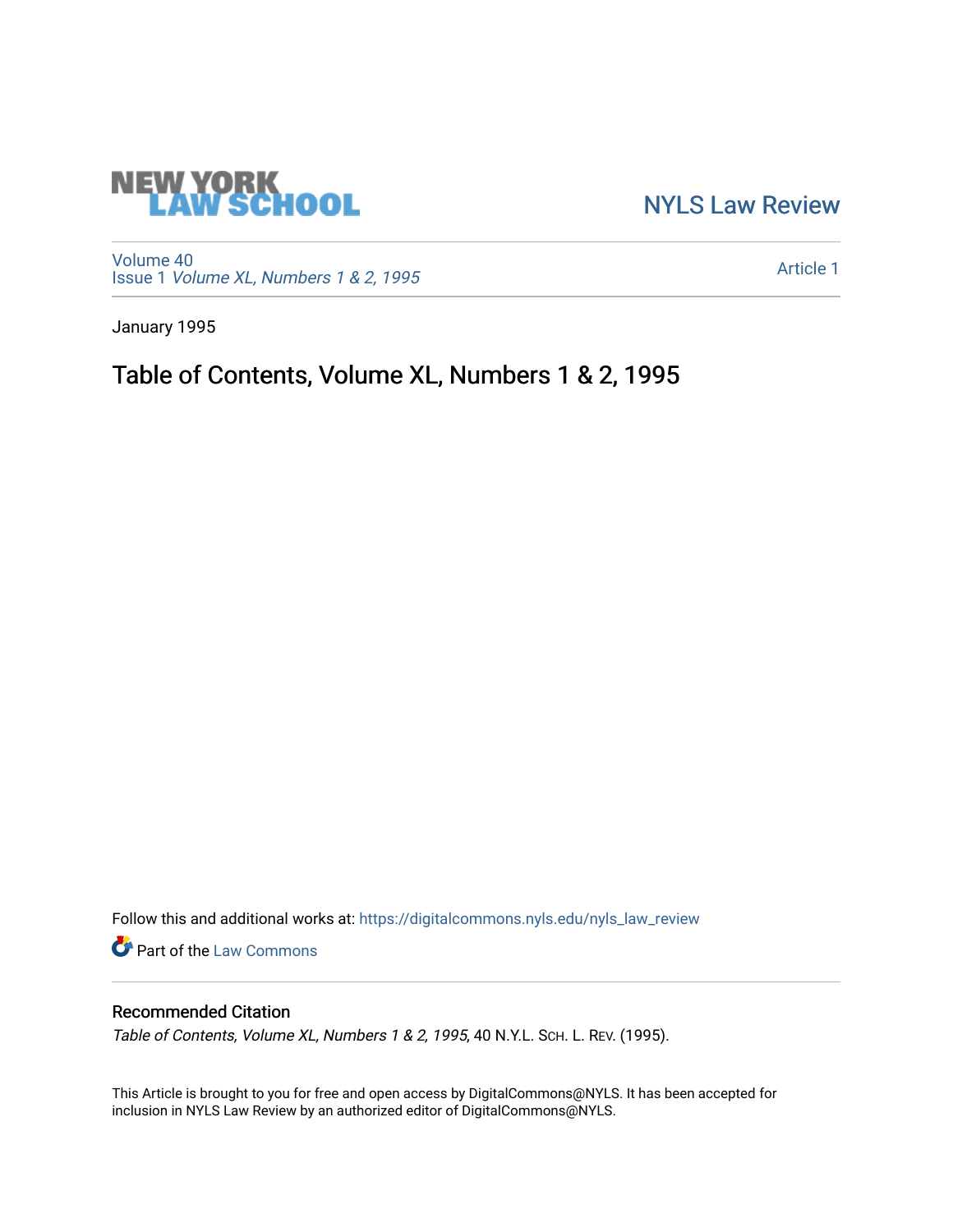## **NEW YORK<br>LAW SCHOOL**

[NYLS Law Review](https://digitalcommons.nyls.edu/nyls_law_review) 

[Volume 40](https://digitalcommons.nyls.edu/nyls_law_review/vol40) Issue 1 [Volume XL, Numbers 1 & 2, 1995](https://digitalcommons.nyls.edu/nyls_law_review/vol40/iss1)

[Article 1](https://digitalcommons.nyls.edu/nyls_law_review/vol40/iss1/1) 

January 1995

## Table of Contents, Volume XL, Numbers 1 & 2, 1995

Follow this and additional works at: [https://digitalcommons.nyls.edu/nyls\\_law\\_review](https://digitalcommons.nyls.edu/nyls_law_review?utm_source=digitalcommons.nyls.edu%2Fnyls_law_review%2Fvol40%2Fiss1%2F1&utm_medium=PDF&utm_campaign=PDFCoverPages) 

**Part of the [Law Commons](https://network.bepress.com/hgg/discipline/578?utm_source=digitalcommons.nyls.edu%2Fnyls_law_review%2Fvol40%2Fiss1%2F1&utm_medium=PDF&utm_campaign=PDFCoverPages)** 

## Recommended Citation

Table of Contents, Volume XL, Numbers 1 & 2, 1995, 40 N.Y.L. SCH. L. REV. (1995).

This Article is brought to you for free and open access by DigitalCommons@NYLS. It has been accepted for inclusion in NYLS Law Review by an authorized editor of DigitalCommons@NYLS.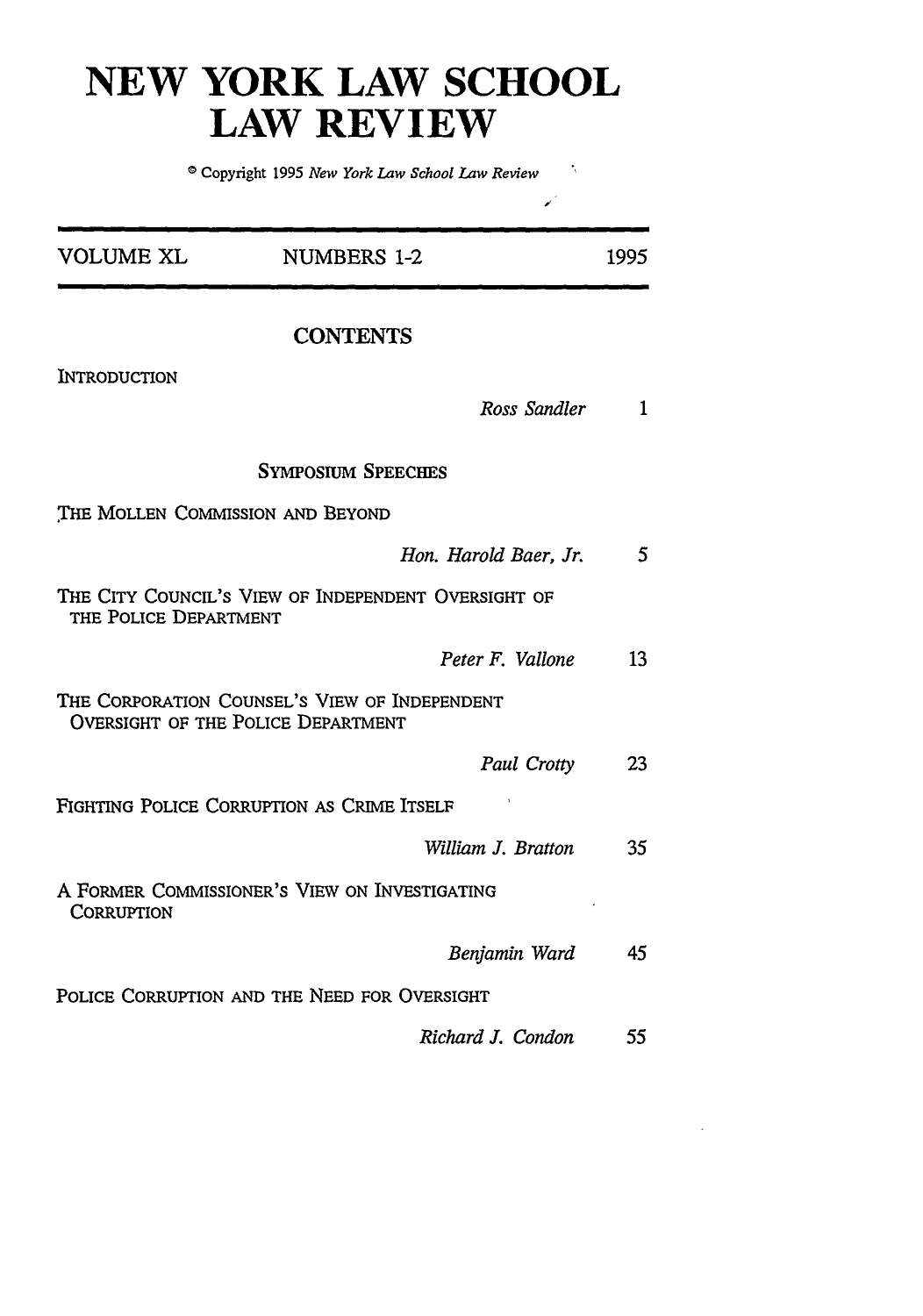## **NEW YORK LAW SCHOOL LAW REVIEW**

o Copyright 1995 *New York Law School Law Review*

 $\mathcal{L}^{\mathcal{L}}$ 

| <b>VOLUME XL</b>                 | <b>NUMBERS 1-2</b>                                                                         | 1995            |
|----------------------------------|--------------------------------------------------------------------------------------------|-----------------|
|                                  | <b>CONTENTS</b>                                                                            |                 |
| INTRODUCTION                     |                                                                                            |                 |
|                                  | Ross Sandler                                                                               | $\mathbf{1}$    |
|                                  | <b>SYMPOSIUM SPEECHES</b>                                                                  |                 |
| THE MOLLEN COMMISSION AND BEYOND |                                                                                            |                 |
|                                  | Hon. Harold Baer, Jr.                                                                      | $5\overline{)}$ |
| THE POLICE DEPARTMENT            | THE CITY COUNCIL'S VIEW OF INDEPENDENT OVERSIGHT OF                                        |                 |
|                                  | Peter F. Vallone                                                                           | 13              |
|                                  | THE CORPORATION COUNSEL'S VIEW OF INDEPENDENT<br><b>OVERSIGHT OF THE POLICE DEPARTMENT</b> |                 |
|                                  | Paul Crotty                                                                                | 23              |
|                                  | FIGHTING POLICE CORRUPTION AS CRIME ITSELF                                                 |                 |
|                                  | William J. Bratton                                                                         | 35              |
| CORRUPTION                       | A FORMER COMMISSIONER'S VIEW ON INVESTIGATING                                              |                 |
|                                  | Benjamin Ward                                                                              | 45              |
|                                  | POLICE CORRUPTION AND THE NEED FOR OVERSIGHT                                               |                 |
|                                  | Richard J. Condon                                                                          | 55              |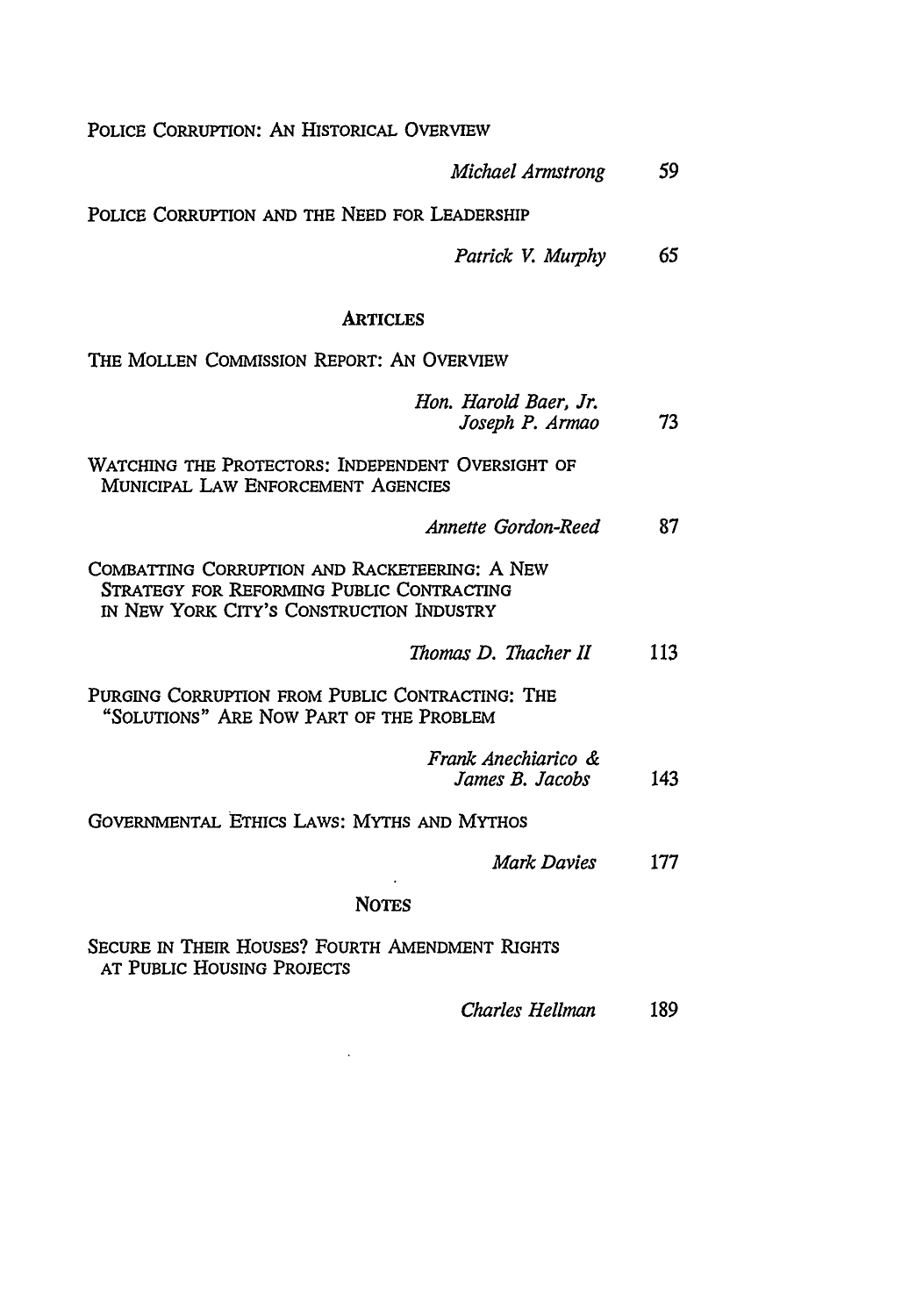POLICE CORRUPTION: **AN** HISTORICAL OVERVIEW

| Michael Armstrong                                                                                                                      | 59  |
|----------------------------------------------------------------------------------------------------------------------------------------|-----|
| POLICE CORRUPTION AND THE NEED FOR LEADERSHIP                                                                                          |     |
| Patrick V. Murphy                                                                                                                      | 65  |
| <b>ARTICLES</b>                                                                                                                        |     |
| THE MOLLEN COMMISSION REPORT: AN OVERVIEW                                                                                              |     |
| Hon. Harold Baer, Jr.<br>Joseph P. Armao                                                                                               | 73  |
| WATCHING THE PROTECTORS: INDEPENDENT OVERSIGHT OF<br>MUNICIPAL LAW ENFORCEMENT AGENCIES                                                |     |
| Annette Gordon-Reed                                                                                                                    | 87  |
| COMBATTING CORRUPTION AND RACKETEERING: A NEW<br>STRATEGY FOR REFORMING PUBLIC CONTRACTING<br>IN NEW YORK CITY'S CONSTRUCTION INDUSTRY |     |
| Thomas D. Thacher II                                                                                                                   | 113 |
| PURGING CORRUPTION FROM PUBLIC CONTRACTING: THE<br>"SOLUTIONS" ARE NOW PART OF THE PROBLEM                                             |     |
| Frank Anechiarico &<br>James B. Jacobs                                                                                                 | 143 |
| GOVERNMENTAL ETHICS LAWS: MYTHS AND MYTHOS                                                                                             |     |
| Mark Davies                                                                                                                            | 177 |
| <b>NOTES</b>                                                                                                                           |     |
| Secure in Their Houses? Fourth Amendment Rights<br>AT PUBLIC HOUSING PROJECTS                                                          |     |
| <b>Charles Hellman</b>                                                                                                                 | 189 |

 $\sim 10^{-11}$